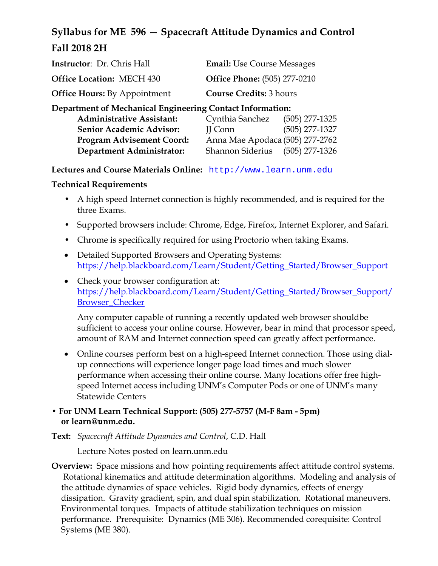# **Syllabus for ME 596 — Spacecraft Attitude Dynamics and Control Fall 2018 2H**

| <b>Instructor:</b> Dr. Chris Hall   | <b>Email:</b> Use Course Messages   |
|-------------------------------------|-------------------------------------|
| <b>Office Location: MECH 430</b>    | <b>Office Phone:</b> (505) 277-0210 |
| <b>Office Hours:</b> By Appointment | <b>Course Credits: 3 hours</b>      |

**Department of Mechanical Engineering Contact Information:** 

| Cynthia Sanchez                 | $(505)$ 277-1325 |
|---------------------------------|------------------|
| II Conn                         | $(505)$ 277-1327 |
| Anna Mae Apodaca (505) 277-2762 |                  |
| <b>Shannon Siderius</b>         | (505) 277-1326   |
|                                 |                  |

**Lectures and Course Materials Online:** http://www.learn.unm.edu

**Technical Requirements** 

- A high speed Internet connection is highly recommended, and is required for the three Exams.
- Supported browsers include: Chrome, Edge, Firefox, Internet Explorer, and Safari.
- Chrome is specifically required for using Proctorio when taking Exams.
- Detailed Supported Browsers and Operating Systems: https://help.blackboard.com/Learn/Student/Getting\_Started/Browser\_Support
- Check your browser configuration at: https://help.blackboard.com/Learn/Student/Getting\_Started/Browser\_Support/ Browser\_Checker

Any computer capable of running a recently updated web browser shouldbe sufficient to access your online course. However, bear in mind that processor speed, amount of RAM and Internet connection speed can greatly affect performance.

- Online courses perform best on a high-speed Internet connection. Those using dialup connections will experience longer page load times and much slower performance when accessing their online course. Many locations offer free highspeed Internet access including UNM's Computer Pods or one of UNM's many Statewide Centers
- **For UNM Learn Technical Support: (505) 277-5757 (M-F 8am 5pm) or learn@unm.edu.**
- **Text:** *Spacecraft Attitude Dynamics and Control*, C.D. Hall

Lecture Notes posted on learn.unm.edu

**Overview:** Space missions and how pointing requirements affect attitude control systems. Rotational kinematics and attitude determination algorithms. Modeling and analysis of the attitude dynamics of space vehicles. Rigid body dynamics, effects of energy dissipation. Gravity gradient, spin, and dual spin stabilization. Rotational maneuvers. Environmental torques. Impacts of attitude stabilization techniques on mission performance. Prerequisite: Dynamics (ME 306). Recommended corequisite: Control Systems (ME 380).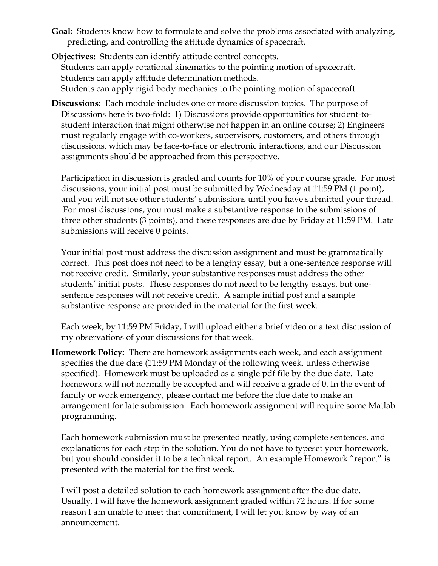**Goal:** Students know how to formulate and solve the problems associated with analyzing, predicting, and controlling the attitude dynamics of spacecraft.

**Objectives:** Students can identify attitude control concepts. Students can apply rotational kinematics to the pointing motion of spacecraft. Students can apply attitude determination methods. Students can apply rigid body mechanics to the pointing motion of spacecraft.

**Discussions:** Each module includes one or more discussion topics. The purpose of Discussions here is two-fold: 1) Discussions provide opportunities for student-tostudent interaction that might otherwise not happen in an online course; 2) Engineers must regularly engage with co-workers, supervisors, customers, and others through discussions, which may be face-to-face or electronic interactions, and our Discussion assignments should be approached from this perspective.

Participation in discussion is graded and counts for 10% of your course grade. For most discussions, your initial post must be submitted by Wednesday at 11:59 PM (1 point), and you will not see other students' submissions until you have submitted your thread. For most discussions, you must make a substantive response to the submissions of three other students (3 points), and these responses are due by Friday at 11:59 PM. Late submissions will receive 0 points.

Your initial post must address the discussion assignment and must be grammatically correct. This post does not need to be a lengthy essay, but a one-sentence response will not receive credit. Similarly, your substantive responses must address the other students' initial posts. These responses do not need to be lengthy essays, but onesentence responses will not receive credit. A sample initial post and a sample substantive response are provided in the material for the first week.

Each week, by 11:59 PM Friday, I will upload either a brief video or a text discussion of my observations of your discussions for that week.

**Homework Policy:** There are homework assignments each week, and each assignment specifies the due date (11:59 PM Monday of the following week, unless otherwise specified). Homework must be uploaded as a single pdf file by the due date. Late homework will not normally be accepted and will receive a grade of 0. In the event of family or work emergency, please contact me before the due date to make an arrangement for late submission. Each homework assignment will require some Matlab programming.

Each homework submission must be presented neatly, using complete sentences, and explanations for each step in the solution. You do not have to typeset your homework, but you should consider it to be a technical report. An example Homework "report" is presented with the material for the first week.

I will post a detailed solution to each homework assignment after the due date. Usually, I will have the homework assignment graded within 72 hours. If for some reason I am unable to meet that commitment, I will let you know by way of an announcement.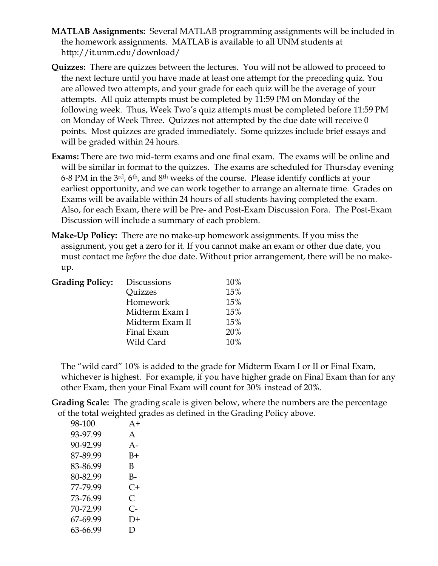- **MATLAB Assignments:** Several MATLAB programming assignments will be included in the homework assignments. MATLAB is available to all UNM students at http://it.unm.edu/download/
- **Quizzes:** There are quizzes between the lectures. You will not be allowed to proceed to the next lecture until you have made at least one attempt for the preceding quiz. You are allowed two attempts, and your grade for each quiz will be the average of your attempts. All quiz attempts must be completed by 11:59 PM on Monday of the following week. Thus, Week Two's quiz attempts must be completed before 11:59 PM on Monday of Week Three. Quizzes not attempted by the due date will receive 0 points. Most quizzes are graded immediately. Some quizzes include brief essays and will be graded within 24 hours.
- **Exams:** There are two mid-term exams and one final exam. The exams will be online and will be similar in format to the quizzes. The exams are scheduled for Thursday evening 6-8 PM in the 3rd, 6th, and 8th weeks of the course. Please identify conflicts at your earliest opportunity, and we can work together to arrange an alternate time. Grades on Exams will be available within 24 hours of all students having completed the exam. Also, for each Exam, there will be Pre- and Post-Exam Discussion Fora. The Post-Exam Discussion will include a summary of each problem.
- **Make-Up Policy:** There are no make-up homework assignments. If you miss the assignment, you get a zero for it. If you cannot make an exam or other due date, you must contact me *before* the due date. Without prior arrangement, there will be no makeup.

| <b>Grading Policy:</b> | <b>Discussions</b> | 10% |
|------------------------|--------------------|-----|
|                        | Quizzes            | 15% |
|                        | Homework           | 15% |
|                        | Midterm Exam I     | 15% |
|                        | Midterm Exam II    | 15% |
|                        | Final Exam         | 20% |
|                        | Wild Card          | 10% |

The "wild card" 10% is added to the grade for Midterm Exam I or II or Final Exam, whichever is highest. For example, if you have higher grade on Final Exam than for any other Exam, then your Final Exam will count for 30% instead of 20%.

**Grading Scale:** The grading scale is given below, where the numbers are the percentage of the total weighted grades as defined in the Grading Policy above.

| 98-100   | $A+$       |
|----------|------------|
| 93-97.99 | A          |
| 90-92.99 | $A -$      |
| 87-89.99 | $B+$       |
| 83-86.99 | В          |
| 80-82.99 | B-         |
| 77-79.99 | $C+$       |
| 73-76.99 | $\subset$  |
| 70-72.99 | $C_{\tau}$ |
| 67-69.99 | D+         |
| 63-66.99 | Ð          |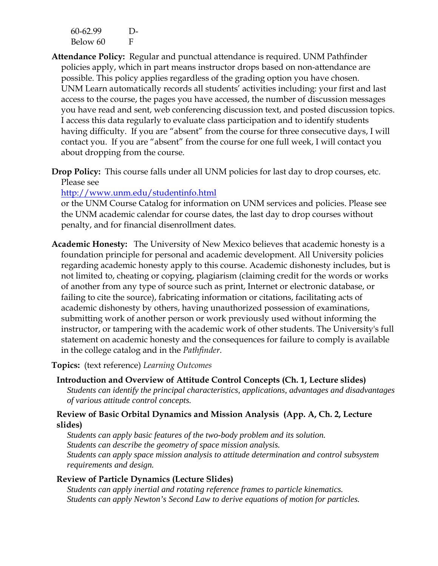| 60-62.99 | $1$ )- |
|----------|--------|
| Below 60 | F      |

- **Attendance Policy:** Regular and punctual attendance is required. UNM Pathfinder policies apply, which in part means instructor drops based on non-attendance are possible. This policy applies regardless of the grading option you have chosen. UNM Learn automatically records all students' activities including: your first and last access to the course, the pages you have accessed, the number of discussion messages you have read and sent, web conferencing discussion text, and posted discussion topics. I access this data regularly to evaluate class participation and to identify students having difficulty. If you are "absent" from the course for three consecutive days, I will contact you. If you are "absent" from the course for one full week, I will contact you about dropping from the course.
- **Drop Policy:** This course falls under all UNM policies for last day to drop courses, etc. Please see

#### http://www.unm.edu/studentinfo.html

or the UNM Course Catalog for information on UNM services and policies. Please see the UNM academic calendar for course dates, the last day to drop courses without penalty, and for financial disenrollment dates.

**Academic Honesty:** The University of New Mexico believes that academic honesty is a foundation principle for personal and academic development. All University policies regarding academic honesty apply to this course. Academic dishonesty includes, but is not limited to, cheating or copying, plagiarism (claiming credit for the words or works of another from any type of source such as print, Internet or electronic database, or failing to cite the source), fabricating information or citations, facilitating acts of academic dishonesty by others, having unauthorized possession of examinations, submitting work of another person or work previously used without informing the instructor, or tampering with the academic work of other students. The University's full statement on academic honesty and the consequences for failure to comply is available in the college catalog and in the *Pathfinder*.

**Topics:** (text reference) *Learning Outcomes*

**Introduction and Overview of Attitude Control Concepts (Ch. 1, Lecture slides)**  *Students can identify the principal characteristics, applications, advantages and disadvantages of various attitude control concepts.* 

#### **Review of Basic Orbital Dynamics and Mission Analysis (App. A, Ch. 2, Lecture slides)**

*Students can apply basic features of the two-body problem and its solution. Students can describe the geometry of space mission analysis. Students can apply space mission analysis to attitude determination and control subsystem requirements and design.* 

#### **Review of Particle Dynamics (Lecture Slides)**

*Students can apply inertial and rotating reference frames to particle kinematics. Students can apply Newton's Second Law to derive equations of motion for particles.*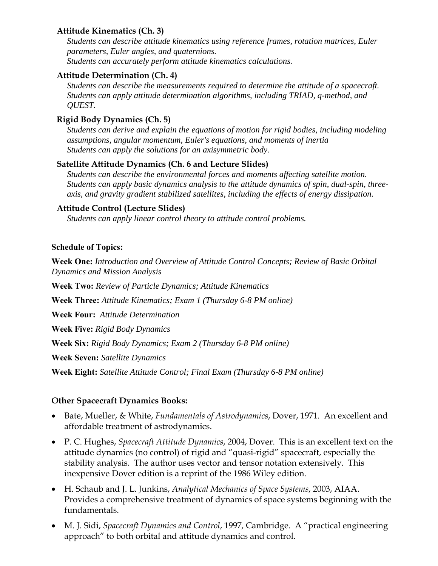### **Attitude Kinematics (Ch. 3)**

*Students can describe attitude kinematics using reference frames, rotation matrices, Euler parameters, Euler angles, and quaternions. Students can accurately perform attitude kinematics calculations.* 

## **Attitude Determination (Ch. 4)**

*Students can describe the measurements required to determine the attitude of a spacecraft. Students can apply attitude determination algorithms, including TRIAD, q-method, and QUEST.* 

## **Rigid Body Dynamics (Ch. 5)**

*Students can derive and explain the equations of motion for rigid bodies, including modeling assumptions, angular momentum, Euler's equations, and moments of inertia Students can apply the solutions for an axisymmetric body.* 

#### **Satellite Attitude Dynamics (Ch. 6 and Lecture Slides)**

*Students can describe the environmental forces and moments affecting satellite motion. Students can apply basic dynamics analysis to the attitude dynamics of spin, dual-spin, threeaxis, and gravity gradient stabilized satellites, including the effects of energy dissipation.* 

## **Attitude Control (Lecture Slides)**

*Students can apply linear control theory to attitude control problems.* 

#### **Schedule of Topics:**

**Week One:** *Introduction and Overview of Attitude Control Concepts; Review of Basic Orbital Dynamics and Mission Analysis* 

**Week Two:** *Review of Particle Dynamics; Attitude Kinematics* 

**Week Three:** *Attitude Kinematics; Exam 1 (Thursday 6-8 PM online)*

**Week Four:** *Attitude Determination* 

**Week Five:** *Rigid Body Dynamics* 

**Week Six:** *Rigid Body Dynamics; Exam 2 (Thursday 6-8 PM online)* 

**Week Seven:** *Satellite Dynamics* 

**Week Eight:** *Satellite Attitude Control; Final Exam (Thursday 6-8 PM online)* 

#### **Other Spacecraft Dynamics Books:**

- Bate, Mueller, & White, *Fundamentals of Astrodynamics*, Dover, 1971. An excellent and affordable treatment of astrodynamics.
- P. C. Hughes, *Spacecraft Attitude Dynamics*, 2004, Dover. This is an excellent text on the attitude dynamics (no control) of rigid and "quasi-rigid" spacecraft, especially the stability analysis. The author uses vector and tensor notation extensively. This inexpensive Dover edition is a reprint of the 1986 Wiley edition.
- H. Schaub and J. L. Junkins, *Analytical Mechanics of Space Systems*, 2003, AIAA. Provides a comprehensive treatment of dynamics of space systems beginning with the fundamentals.
- M. J. Sidi, *Spacecraft Dynamics and Control*, 1997, Cambridge. A "practical engineering approach" to both orbital and attitude dynamics and control.